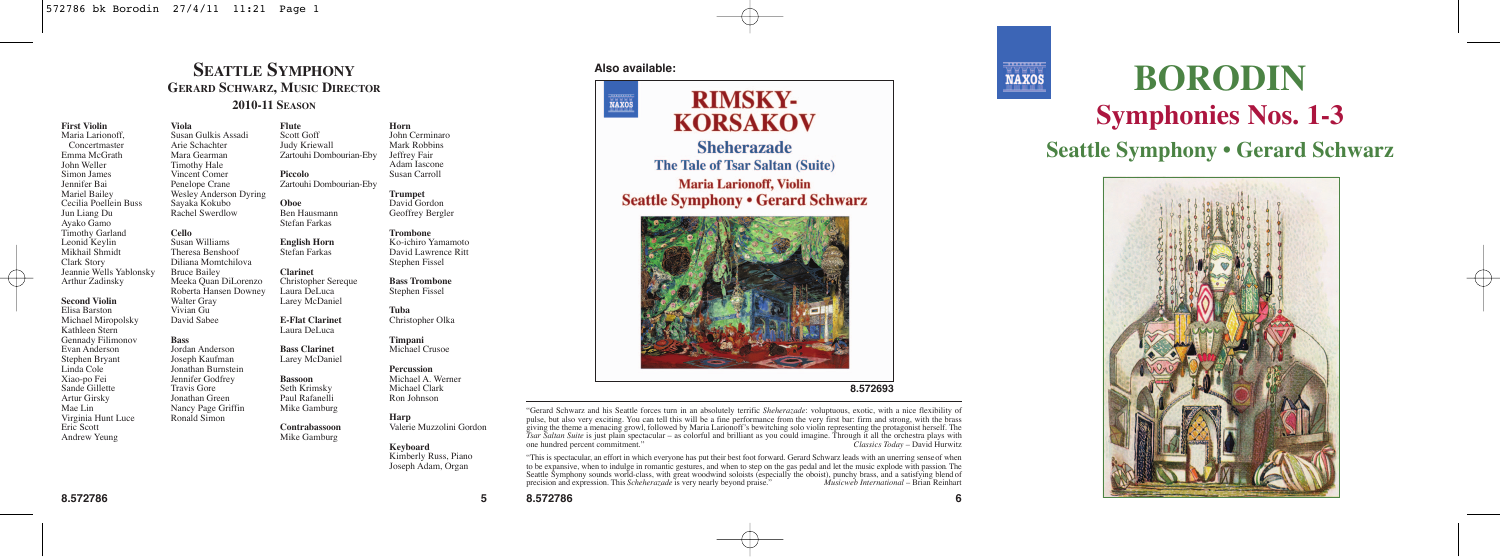## **SEATTLE SYMPHONY GERARD SCHWARZ, MUSIC DIRECTOR 2010-11 SEASON**

**Flute**

**Oboe** Ben Hausmann Stefan Farkas **English Horn** Stefan Farkas **Clarinet** Christopher Sereque Laura DeLuca Larey McDaniel **E-Flat Clarinet** Laura DeLuca **Bass Clarinet** Larey McDaniel **Bassoon** Seth Krimsky Paul Rafanelli Mike Gamburg **Contrabassoon** Mike Gamburg

**First Violin** Maria Larionoff, Concertmaster Emma McGrath John Weller Simon James Jennifer Bai Mariel Bailey Cecilia Poellein Buss Jun Liang Du Ayako Gamo Timothy Garland Leonid Keylin Mikhail Shmidt Clark Story Jeannie Wells Yablonsky Arthur Zadinsky **Second Violin** Elisa Barston Michael Miropolsky Kathleen Stern Gennady Filimonov Evan Anderson Stephen Bryant Linda Cole Xiao-po Fei Sande Gillette Artur Girsky Mae Lin **Viola** Walter Gray

Susan Gulkis Assadi Arie Schachter Mara Gearman Timothy Hale Vincent Comer Penelope Crane Wesley Anderson Dyring Sayaka Kokubo Rachel Swerdlow **Cello** Susan Williams Theresa Benshoof Diliana Momtchilova Bruce Bailey Meeka Quan DiLorenzo Roberta Hansen Downey

Virginia Hunt Luce Eric Scott Andrew Yeung Vivian Gu David Sabee **Bass** Jordan Anderson Joseph Kaufman Jonathan Burnstein Jennifer Godfrey Travis Gore Jonathan Green Nancy Page Griffin Ronald Simon

Scott Goff Judy Kriewall Zartouhi Dombourian-Eby **Piccolo** Zartouhi Dombourian-Eby John Cerminaro Mark Robbins Jeffrey Fair Adam Iascone Susan Carroll

**Trumpet** David Gordon Geoffrey Bergler

**Horn**

**Trombone** Ko-ichiro Yamamoto David Lawrence Ritt Stephen Fissel

**Bass Trombone** Stephen Fissel

**Tuba** Christopher Olka

**Timpani** Michael Crusoe

**Percussion** Michael A. Werner

Michael Clark Ron Johnson

## **Harp**

Valerie Muzzolini Gordon

#### **Keyboard** Kimberly Russ, Piano Joseph Adam, Organ



## **RIMSKY-**NAXOS **KORSAKOV Sheherazade The Tale of Tsar Saltan (Suite) Maria Larionoff, Violin Seattle Symphony . Gerard Schwarz**



"Gerard Schwarz and his Seattle forces turn in an absolutely terrific *Sheherazade*: voluptuous, exotic, with a nice flexibility of place, out also very extending. You can cut us with our analysis in the continuous property in the form of the state of the state of the state of the state of the state of the state of the state of the state of the state one hundred percent commitment."

"This is spectacular, an effort in which everyone has put their best foot forward. Gerard Schwarz leads with an unerring sense of when to be expansive, when to indulge in romantic gestures, and when to step on the gas pedal and let the music explode with passion. The Seattle Symphony sounds world-class, with great woodwind soloists (especially the oboist), punchy brass, and a satisfying blend of precision and expression. This *Scheherazade* is very nearly beyond praise." Music web Inte precision and expression. This *Scheherazade* is very nearly beyond praise."



# **BORODIN Symphonies Nos. 1-3**

**Seattle Symphony • Gerard Schwarz**



**8.572786 5 8.572786 6**